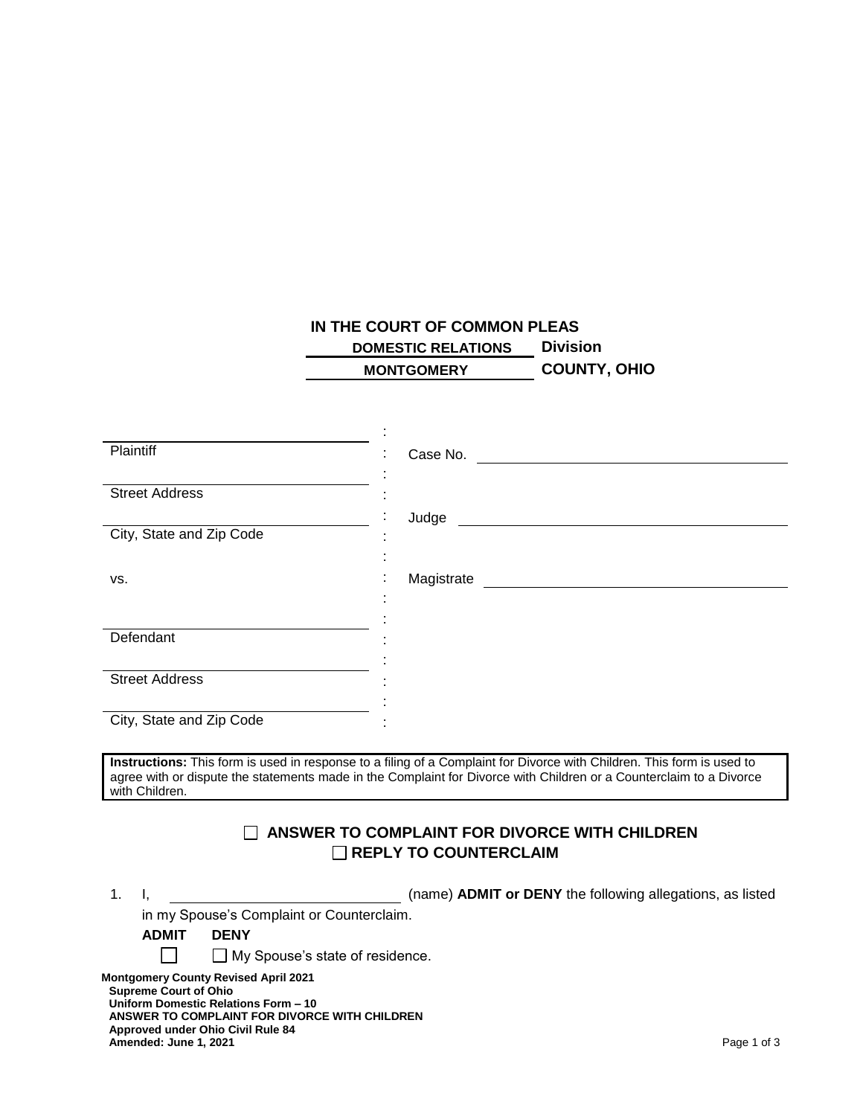## **IN THE COURT OF COMMON PLEAS DOMESTIC RELATIONS Division MONTGOMERY COUNTY, OHIO**

| Plaintiff                                                                             |                                                                                                                        |  |
|---------------------------------------------------------------------------------------|------------------------------------------------------------------------------------------------------------------------|--|
|                                                                                       | Case No.                                                                                                               |  |
| <b>Street Address</b>                                                                 |                                                                                                                        |  |
|                                                                                       | Judge                                                                                                                  |  |
| City, State and Zip Code                                                              |                                                                                                                        |  |
|                                                                                       |                                                                                                                        |  |
| VS.                                                                                   | Magistrate Magistrate                                                                                                  |  |
|                                                                                       |                                                                                                                        |  |
| Defendant                                                                             |                                                                                                                        |  |
|                                                                                       |                                                                                                                        |  |
| <b>Street Address</b>                                                                 |                                                                                                                        |  |
|                                                                                       |                                                                                                                        |  |
| City, State and Zip Code                                                              |                                                                                                                        |  |
|                                                                                       | Instructions: This form is used in response to a filing of a Complaint for Divorce with Children. This form is used to |  |
| with Children.                                                                        | agree with or dispute the statements made in the Complaint for Divorce with Children or a Counterclaim to a Divorce    |  |
|                                                                                       |                                                                                                                        |  |
| ANSWER TO COMPLAINT FOR DIVORCE WITH CHILDREN                                         |                                                                                                                        |  |
|                                                                                       | $\Box$ REPLY TO COUNTERCLAIM                                                                                           |  |
|                                                                                       |                                                                                                                        |  |
| 1 <sub>1</sub><br>ı.                                                                  | (name) ADMIT or DENY the following allegations, as listed                                                              |  |
| in my Spouse's Complaint or Counterclaim.<br><b>ADMIT</b><br><b>DENY</b>              |                                                                                                                        |  |
| $\Box$ My Spouse's state of residence.                                                |                                                                                                                        |  |
|                                                                                       |                                                                                                                        |  |
| <b>Montgomery County Revised April 2021</b><br><b>Supreme Court of Ohio</b>           |                                                                                                                        |  |
| Uniform Domestic Relations Form - 10<br>ANSWER TO COMPLAINT FOR DIVORCE WITH CHILDREN |                                                                                                                        |  |
| Approved under Ohio Civil Rule 84                                                     |                                                                                                                        |  |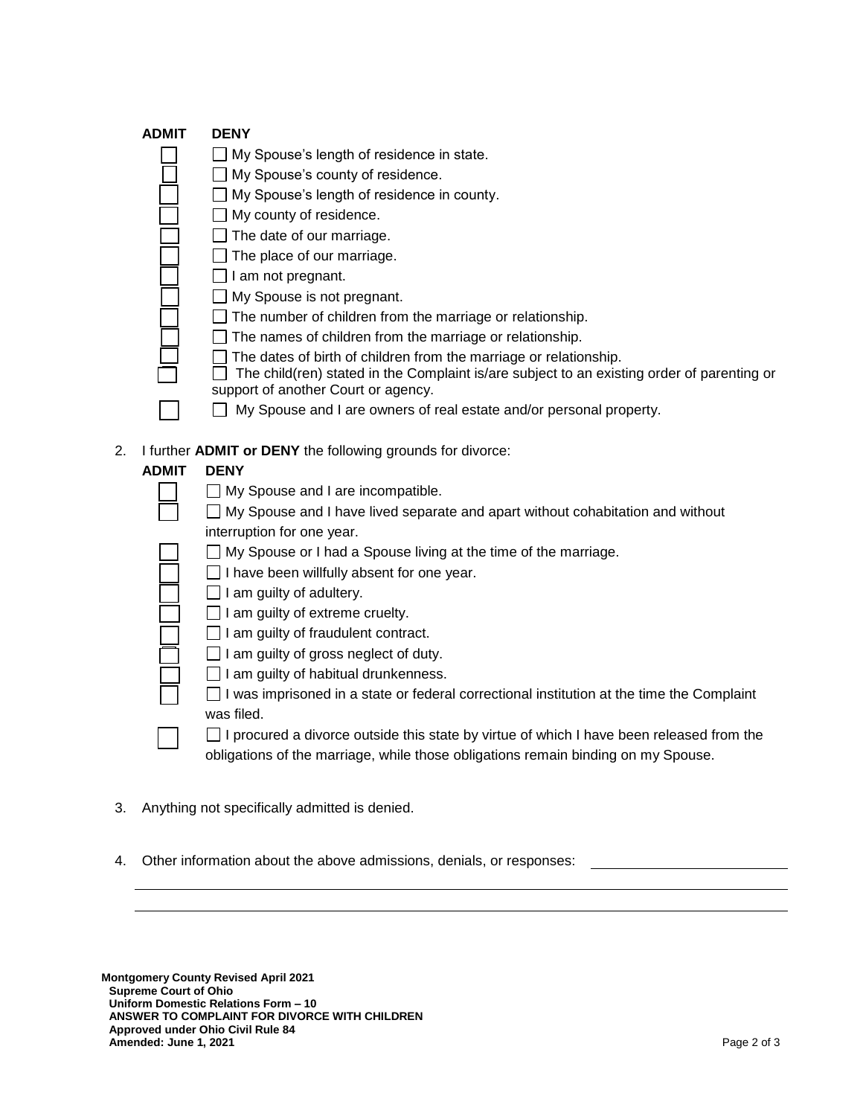|    | <b>ADMIT</b> | <b>DENY</b>                                                                                |
|----|--------------|--------------------------------------------------------------------------------------------|
|    |              | My Spouse's length of residence in state.                                                  |
|    |              | My Spouse's county of residence.                                                           |
|    |              | My Spouse's length of residence in county.                                                 |
|    |              | My county of residence.                                                                    |
|    |              | The date of our marriage.                                                                  |
|    |              | The place of our marriage.                                                                 |
|    |              | am not pregnant.                                                                           |
|    |              | My Spouse is not pregnant.                                                                 |
|    |              | The number of children from the marriage or relationship.                                  |
|    |              | The names of children from the marriage or relationship.                                   |
|    |              | The dates of birth of children from the marriage or relationship.                          |
|    |              | The child(ren) stated in the Complaint is/are subject to an existing order of parenting or |
|    |              | support of another Court or agency.                                                        |
|    |              | My Spouse and I are owners of real estate and/or personal property.                        |
| 2. |              | I further <b>ADMIT or DENY</b> the following grounds for divorce:                          |
|    | <b>ADMIT</b> | <b>DENY</b>                                                                                |
|    |              | $\Box$ My Spouse and I are incompatible.                                                   |
|    |              | My Spouse and I have lived separate and apart without cohabitation and without             |
|    |              |                                                                                            |
|    |              | interruption for one year.                                                                 |
|    |              | My Spouse or I had a Spouse living at the time of the marriage.                            |

- $\Box$  I have been willfully absent for one year.
- $\Box$  I am guilty of adultery.
- $\Box$  I am guilty of extreme cruelty.
- $\Box$  I am guilty of fraudulent contract.
- $\Box$  I am guilty of gross neglect of duty.
- $\Box$  I am guilty of habitual drunkenness.
- $\Box$  I was imprisoned in a state or federal correctional institution at the time the Complaint was filed.
- $\Box$  I procured a divorce outside this state by virtue of which I have been released from the obligations of the marriage, while those obligations remain binding on my Spouse.
- 3. Anything not specifically admitted is denied.
- 4. Other information about the above admissions, denials, or responses: